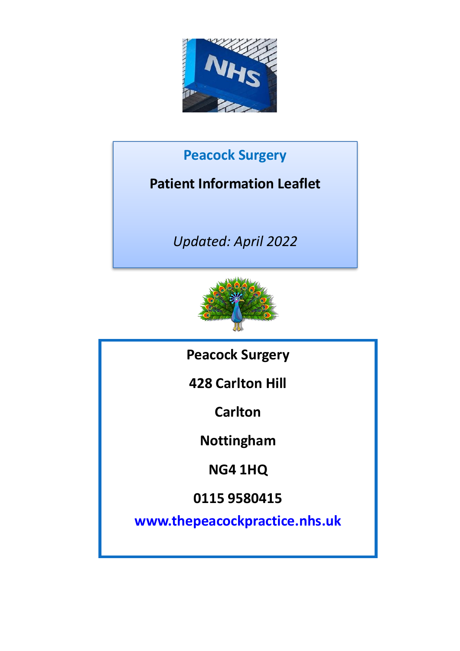

# **Peacock Surgery**

# **Patient Information Leaflet**

*Updated: April 2022*



**Peacock Surgery**

**428 Carlton Hill**

**Carlton**

**Nottingham**

**NG4 1HQ**

**0115 9580415**

**www.thepeacockpractice.nhs.uk**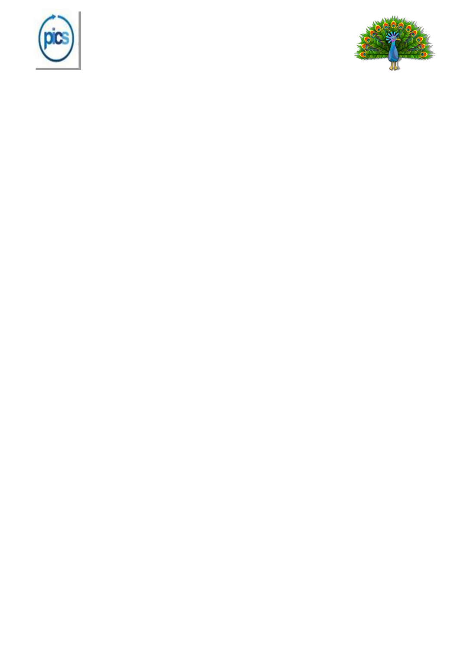

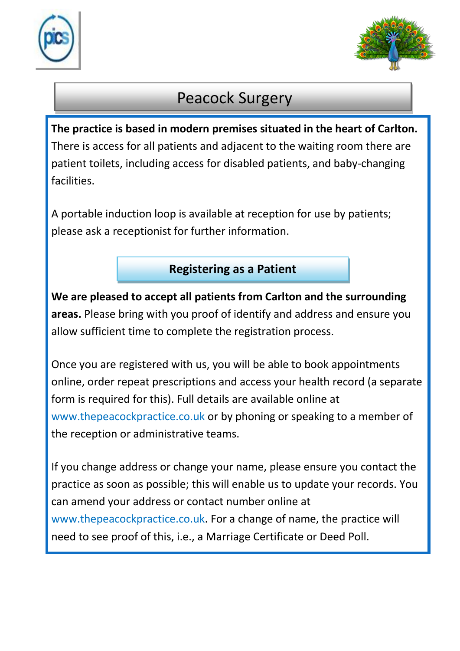



# Peacock Surgery

**The practice is based in modern premises situated in the heart of Carlton.**  There is access for all patients and adjacent to the waiting room there are patient toilets, including access for disabled patients, and baby-changing facilities.

A portable induction loop is available at reception for use by patients; please ask a receptionist for further information.

### **Registering as a Patient**

**We are pleased to accept all patients from Carlton and the surrounding areas.** Please bring with you proof of identify and address and ensure you allow sufficient time to complete the registration process.

Once you are registered with us, you will be able to book appointments online, order repeat prescriptions and access your health record (a separate form is required for this). Full details are available online at www.thepeacockpractice.co.uk or by phoning or speaking to a member of the reception or administrative teams.

If you change address or change your name, please ensure you contact the practice as soon as possible; this will enable us to update your records. You can amend your address or contact number online at www.thepeacockpractice.co.uk. For a change of name, the practice will need to see proof of this, i.e., a Marriage Certificate or Deed Poll.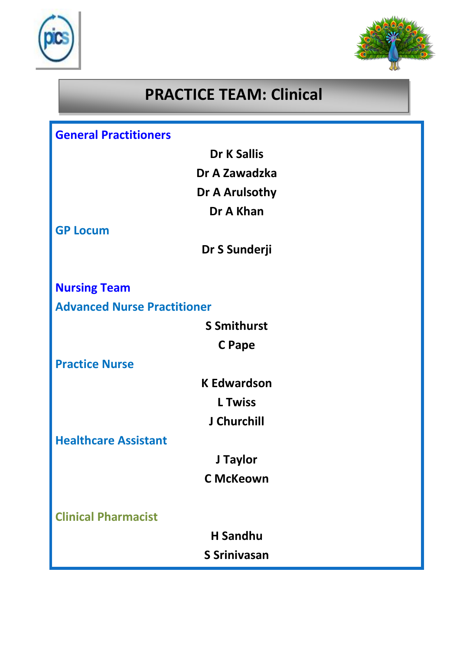



# **PRACTICE TEAM: Clinical**

| <b>General Practitioners</b>       |
|------------------------------------|
| <b>Dr K Sallis</b>                 |
| Dr A Zawadzka                      |
| Dr A Arulsothy                     |
| Dr A Khan                          |
| <b>GP Locum</b>                    |
| Dr S Sunderji                      |
|                                    |
| <b>Nursing Team</b>                |
| <b>Advanced Nurse Practitioner</b> |
| <b>S</b> Smithurst                 |
| C Pape                             |
| <b>Practice Nurse</b>              |
| <b>K Edwardson</b>                 |
| <b>L</b> Twiss                     |
| J Churchill                        |
| <b>Healthcare Assistant</b>        |
| J Taylor                           |
| <b>C</b> McKeown                   |
|                                    |
| <b>Clinical Pharmacist</b>         |
| <b>H</b> Sandhu                    |
| <b>S Srinivasan</b>                |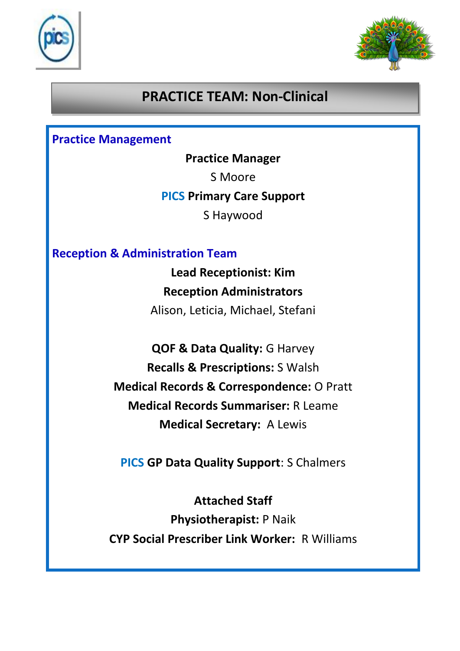



# **PRACTICE TEAM: Non-Clinical**

#### **Practice Management**

**Practice Manager** S Moore **PICS Primary Care Support** S Haywood

#### **Reception & Administration Team**

**Lead Receptionist: Kim Reception Administrators**

Alison, Leticia, Michael, Stefani

**QOF & Data Quality:** G Harvey **Recalls & Prescriptions:** S Walsh **Medical Records & Correspondence:** O Pratt **Medical Records Summariser:** R Leame **Medical Secretary:** A Lewis

**PICS GP Data Quality Support**: S Chalmers

**Attached Staff Physiotherapist:** P Naik **CYP Social Prescriber Link Worker:** R Williams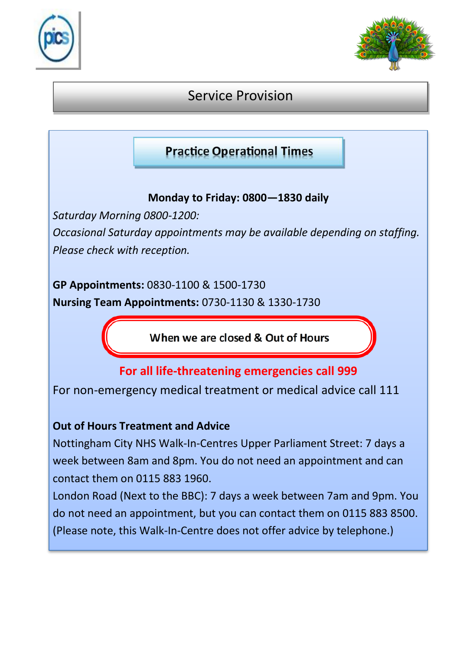



### Service Provision

**Practice Operational Times** 

**Monday to Friday: 0800—1830 daily**

*Saturday Morning 0800-1200:* 

*Occasional Saturday appointments may be available depending on staffing. Please check with reception.*

**GP Appointments:** 0830-1100 & 1500-1730 **Nursing Team Appointments:** 0730-1130 & 1330-1730

When we are closed & Out of Hours

### **For all life-threatening emergencies call 999**

For non-emergency medical treatment or medical advice call 111

#### **Out of Hours Treatment and Advice**

Nottingham City NHS Walk-In-Centres Upper Parliament Street: 7 days a week between 8am and 8pm. You do not need an appointment and can contact them on 0115 883 1960.

London Road (Next to the BBC): 7 days a week between 7am and 9pm. You do not need an appointment, but you can contact them on 0115 883 8500. (Please note, this Walk-In-Centre does not offer advice by telephone.)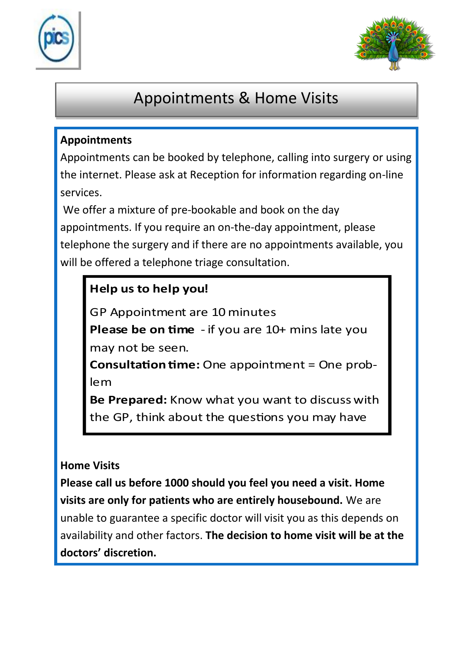



# Appointments & Home Visits

#### **Appointments**

Appointments can be booked by telephone, calling into surgery or using the internet. Please ask at Reception for information regarding on-line services.

We offer a mixture of pre-bookable and book on the day appointments. If you require an on-the-day appointment, please telephone the surgery and if there are no appointments available, you will be offered a telephone triage consultation.

## **Help us to help you!**

GP Appointment are 10 minutes

**Please be on time** - if you are 10+ mins late you may not be seen.

**Consultation time:** One appointment = One problem

**Be Prepared:** Know what you want to discuss with the GP, think about the questions you may have

#### **Home Visits**

**Please call us before 1000 should you feel you need a visit. Home visits are only for patients who are entirely housebound.** We are unable to guarantee a specific doctor will visit you as this depends on availability and other factors. **The decision to home visit will be at the doctors' discretion.**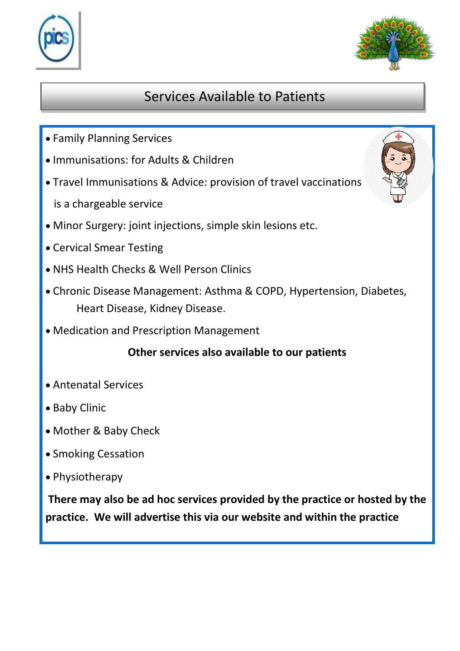



## Services Available to Patients

- Family Planning Services
- Immunisations: for Adults & Children
- Travel Immunisations & Advice: provision of travel vaccinations
	- is a chargeable service
- Minor Surgery: joint injections, simple skin lesions etc.
- Cervical Smear Testing
- NHS Health Checks & Well Person Clinics
- Chronic Disease Management: Asthma & COPD, Hypertension, Diabetes, Heart Disease, Kidney Disease.
- Medication and Prescription Management

### **Other services also available to our patients**

- Antenatal Services
- Baby Clinic
- Mother & Baby Check
- Smoking Cessation
- Physiotherapy

**There may also be ad hoc services provided by the practice or hosted by the practice. We will advertise this via our website and within the practice**

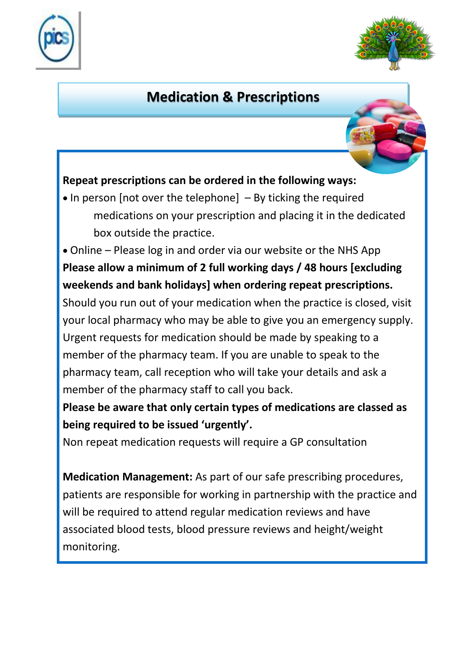



## **Medication & Prescriptions**

#### **Repeat prescriptions can be ordered in the following ways:**

- In person [not over the telephone] By ticking the required medications on your prescription and placing it in the dedicated box outside the practice.
- Online Please log in and order via our website or the NHS App **Please allow a minimum of 2 full working days / 48 hours [excluding weekends and bank holidays] when ordering repeat prescriptions.**
- Should you run out of your medication when the practice is closed, visit your local pharmacy who may be able to give you an emergency supply. Urgent requests for medication should be made by speaking to a member of the pharmacy team. If you are unable to speak to the pharmacy team, call reception who will take your details and ask a member of the pharmacy staff to call you back.

**Please be aware that only certain types of medications are classed as being required to be issued 'urgently'.** 

Non repeat medication requests will require a GP consultation

**Medication Management:** As part of our safe prescribing procedures, patients are responsible for working in partnership with the practice and will be required to attend regular medication reviews and have associated blood tests, blood pressure reviews and height/weight monitoring.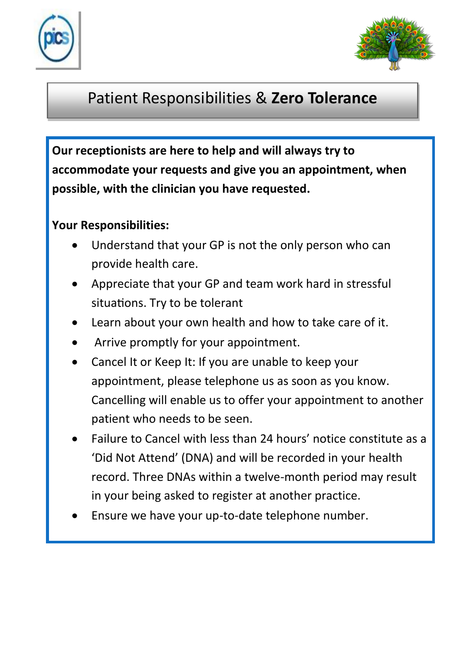



# Patient Responsibilities & **Zero Tolerance**

**Our receptionists are here to help and will always try to accommodate your requests and give you an appointment, when possible, with the clinician you have requested.** 

#### **Your Responsibilities:**

- Understand that your GP is not the only person who can provide health care.
- Appreciate that your GP and team work hard in stressful situations. Try to be tolerant
- Learn about your own health and how to take care of it.
- Arrive promptly for your appointment.
- Cancel It or Keep It: If you are unable to keep your appointment, please telephone us as soon as you know. Cancelling will enable us to offer your appointment to another patient who needs to be seen.
- Failure to Cancel with less than 24 hours' notice constitute as a 'Did Not Attend' (DNA) and will be recorded in your health record. Three DNAs within a twelve-month period may result in your being asked to register at another practice.
- Ensure we have your up-to-date telephone number.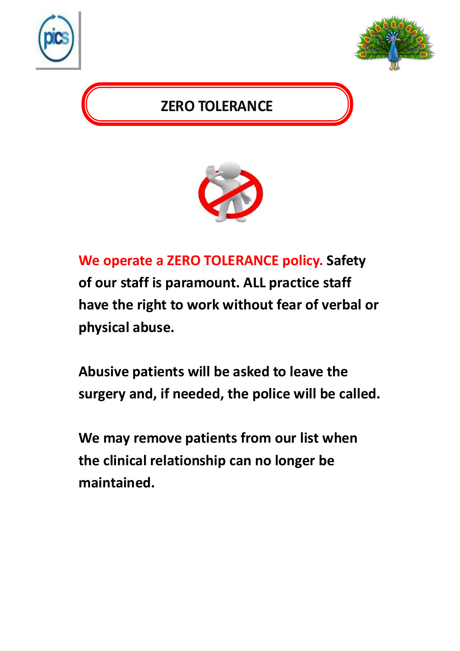



## **ZERO TOLERANCE**



**We operate a ZERO TOLERANCE policy. Safety of our staff is paramount. ALL practice staff have the right to work without fear of verbal or physical abuse.** 

**Abusive patients will be asked to leave the surgery and, if needed, the police will be called.** 

**We may remove patients from our list when the clinical relationship can no longer be maintained.**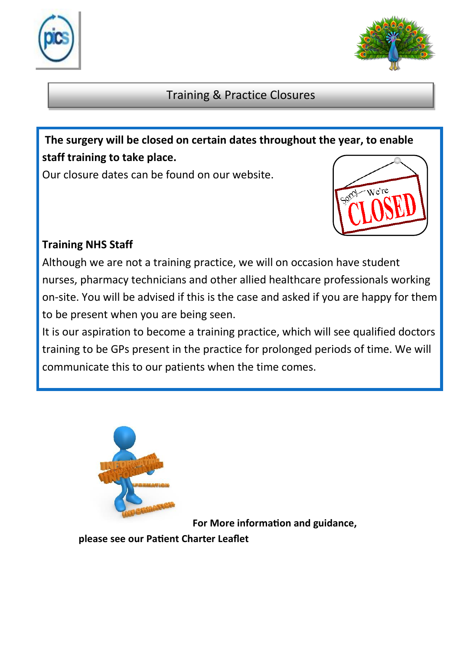



### Training & Practice Closures

**The surgery will be closed on certain dates throughout the year, to enable staff training to take place.**

Our closure dates can be found on our website.



#### **Training NHS Staff**

Although we are not a training practice, we will on occasion have student nurses, pharmacy technicians and other allied healthcare professionals working on-site. You will be advised if this is the case and asked if you are happy for them to be present when you are being seen.

It is our aspiration to become a training practice, which will see qualified doctors training to be GPs present in the practice for prolonged periods of time. We will communicate this to our patients when the time comes.



**For More information and guidance,** 

**please see our Patient Charter Leaflet**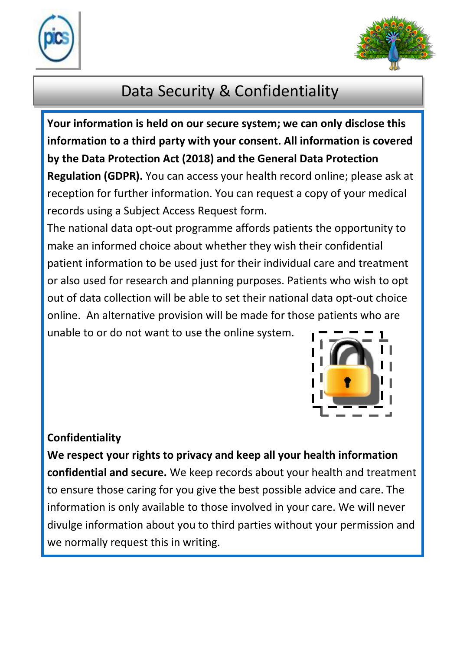



# Data Security & Confidentiality

**Your information is held on our secure system; we can only disclose this information to a third party with your consent. All information is covered by the Data Protection Act (2018) and the General Data Protection Regulation (GDPR).** You can access your health record online; please ask at reception for further information. You can request a copy of your medical records using a Subject Access Request form.

The national data opt-out programme affords patients the opportunity to make an informed choice about whether they wish their confidential patient information to be used just for their individual care and treatment or also used for research and planning purposes. Patients who wish to opt out of data collection will be able to set their national data opt-out choice online. An alternative provision will be made for those patients who are unable to or do not want to use the online system.



#### **Confidentiality**

**We respect your rights to privacy and keep all your health information confidential and secure.** We keep records about your health and treatment to ensure those caring for you give the best possible advice and care. The information is only available to those involved in your care. We will never divulge information about you to third parties without your permission and we normally request this in writing.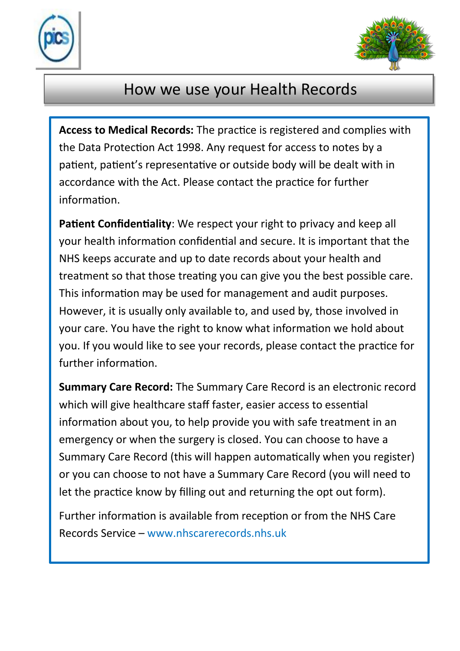



# How we use your Health Records

**Access to Medical Records:** The practice is registered and complies with the Data Protection Act 1998. Any request for access to notes by a patient, patient's representative or outside body will be dealt with in accordance with the Act. Please contact the practice for further  $information$ 

Patient Confidentiality: We respect your right to privacy and keep all your health information confidential and secure. It is important that the NHS keeps accurate and up to date records about your health and treatment so that those treating you can give you the best possible care. This information may be used for management and audit purposes. However, it is usually only available to, and used by, those involved in your care. You have the right to know what information we hold about you. If you would like to see your records, please contact the practice for further information.

**Summary Care Record:** The Summary Care Record is an electronic record which will give healthcare staff faster, easier access to essential information about you, to help provide you with safe treatment in an emergency or when the surgery is closed. You can choose to have a Summary Care Record (this will happen automatically when you register) or you can choose to not have a Summary Care Record (you will need to let the practice know by filling out and returning the opt out form).

Further information is available from reception or from the NHS Care Records Service – www.nhscarerecords.nhs.uk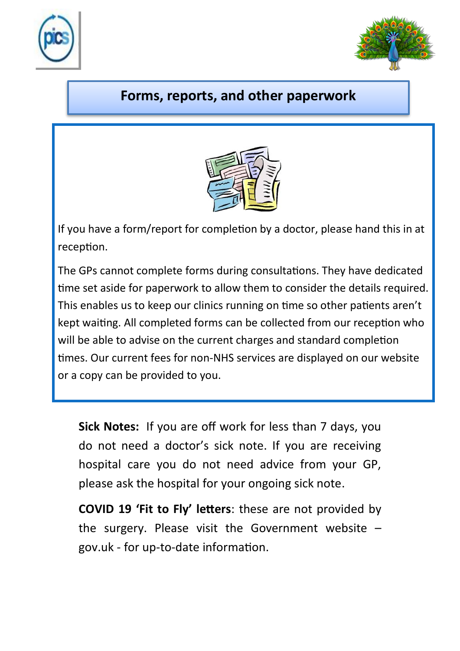



## **Forms, reports, and other paperwork**



If you have a form/report for completion by a doctor, please hand this in at reception.

The GPs cannot complete forms during consultations. They have dedicated time set aside for paperwork to allow them to consider the details required. This enables us to keep our clinics running on time so other patients aren't kept waiting. All completed forms can be collected from our reception who will be able to advise on the current charges and standard completion mes. Our current fees for non-NHS services are displayed on our website or a copy can be provided to you.

**Sick Notes:** If you are off work for less than 7 days, you do not need a doctor's sick note. If you are receiving hospital care you do not need advice from your GP, please ask the hospital for your ongoing sick note.

**COVID 19 'Fit to Fly' letters**: these are not provided by the surgery. Please visit the Government website – gov.uk - for up-to-date information.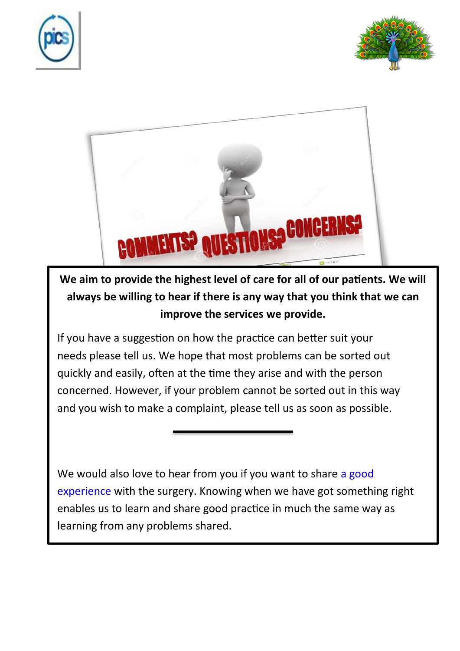





### We aim to provide the highest level of care for all of our patients. We will **always be willing to hear if there is any way that you think that we can improve the services we provide.**

If you have a suggestion on how the practice can better suit your needs please tell us. We hope that most problems can be sorted out quickly and easily, often at the time they arise and with the person concerned. However, if your problem cannot be sorted out in this way and you wish to make a complaint, please tell us as soon as possible.

We would also love to hear from you if you want to share a good experience with the surgery. Knowing when we have got something right enables us to learn and share good practice in much the same way as learning from any problems shared.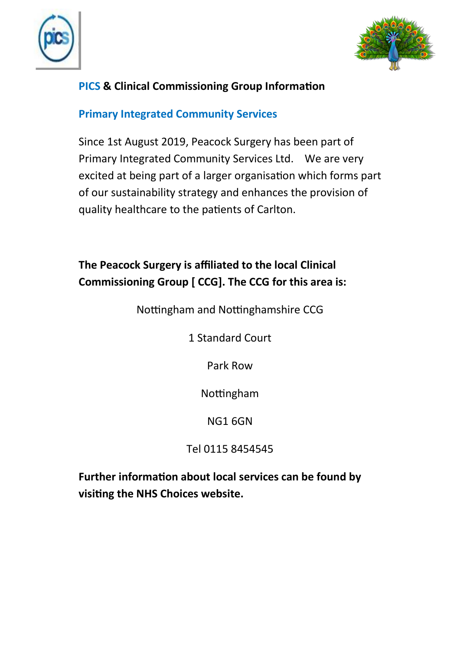



#### **PICS & Clinical Commissioning Group Information**

#### **Primary Integrated Community Services**

Since 1st August 2019, Peacock Surgery has been part of Primary Integrated Community Services Ltd. We are very excited at being part of a larger organisation which forms part of our sustainability strategy and enhances the provision of quality healthcare to the patients of Carlton.

### **The Peacock Surgery is affiliated to the local Clinical Commissioning Group [ CCG]. The CCG for this area is:**

Nottingham and Nottinghamshire CCG

1 Standard Court

Park Row

Nottingham

### NG1 6GN

### Tel 0115 8454545

Further information about local services can be found by **visi ng the NHS Choices website.**